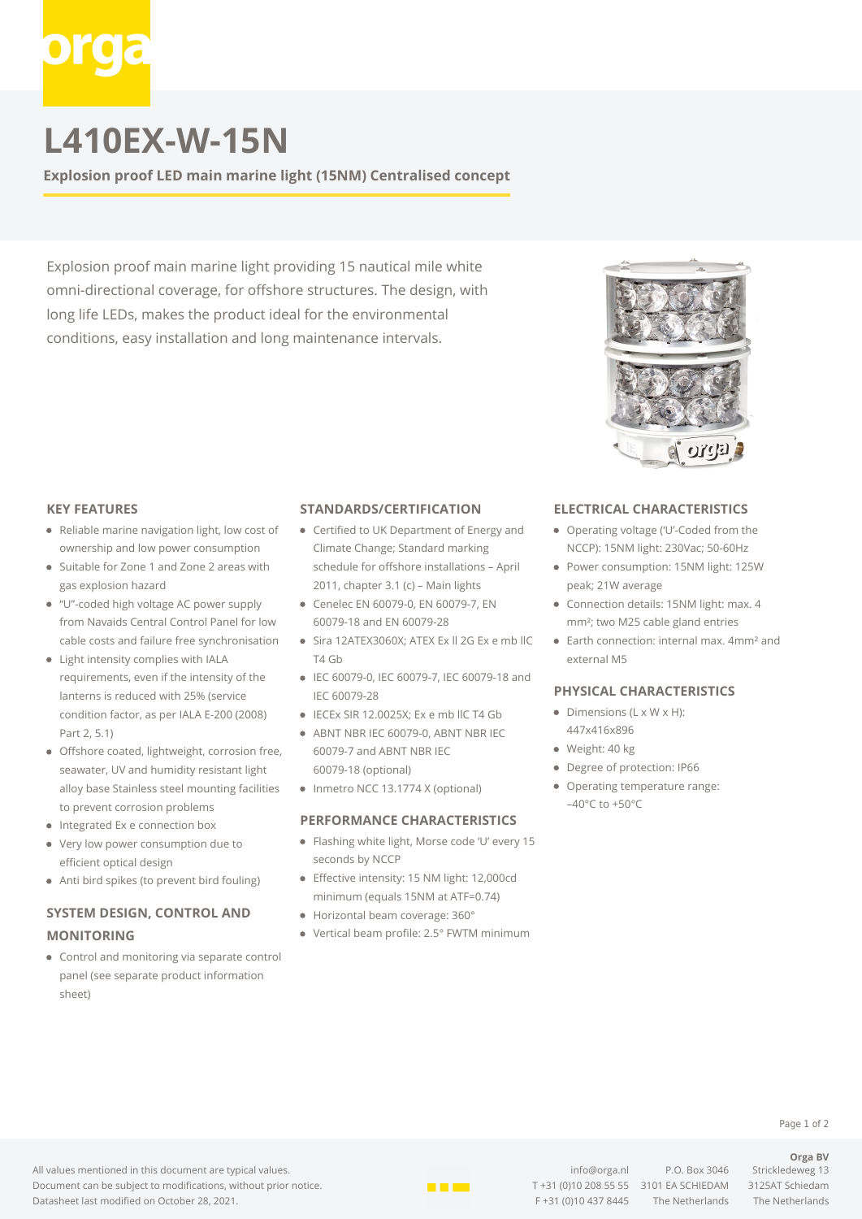# **L410EX-W-15N**

**Explosion proof LED main marine light (15NM) Centralised concept**

Explosion proof main marine light providing 15 nautical mile white omni-directional coverage, for offshore structures. The design, with long life LEDs, makes the product ideal for the environmental conditions, easy installation and long maintenance intervals.



### **KEY FEATURES**

- Reliable marine navigation light, low cost of ownership and low power consumption
- Suitable for Zone 1 and Zone 2 areas with gas explosion hazard
- "U"-coded high voltage AC power supply from Navaids Central Control Panel for low cable costs and failure free synchronisation
- Light intensity complies with IALA requirements, even if the intensity of the lanterns is reduced with 25% (service condition factor, as per IALA E-200 (2008) Part 2, 5.1)
- Offshore coated, lightweight, corrosion free, seawater, UV and humidity resistant light alloy base Stainless steel mounting facilities to prevent corrosion problems
- Integrated Ex e connection box
- $\bullet$ Very low power consumption due to efficient optical design
- Anti bird spikes (to prevent bird fouling)

## **SYSTEM DESIGN, CONTROL AND MONITORING**

Control and monitoring via separate control panel (see separate product information sheet)

#### **STANDARDS/CERTIFICATION**

- Certified to UK Department of Energy and Climate Change; Standard marking schedule for offshore installations – April 2011, chapter 3.1 (c) – Main lights
- Cenelec EN 60079-0, EN 60079-7, EN 60079-18 and EN 60079-28
- Sira 12ATEX3060X; ATEX Ex ll 2G Ex e mb llC T4 Gb
- IEC 60079-0, IEC 60079-7, IEC 60079-18 and IEC 60079-28
- IECEx SIR 12.0025X; Ex e mb IIC T4 Gb
- ABNT NBR IEC 60079-0, ABNT NBR IEC 60079-7 and ABNT NBR IEC 60079-18 (optional)
- Inmetro NCC 13.1774 X (optional)

### **PERFORMANCE CHARACTERISTICS**

- Flashing white light, Morse code 'U' every 15 seconds by NCCP
- Effective intensity: 15 NM light: 12,000cd minimum (equals 15NM at ATF=0.74)
- Horizontal beam coverage: 360°
- Vertical beam profile: 2.5° FWTM minimum

#### **ELECTRICAL CHARACTERISTICS**

- Operating voltage ('U'-Coded from the NCCP): 15NM light: 230Vac; 50-60Hz
- Power consumption: 15NM light: 125W peak; 21W average
- Connection details: 15NM light: max. 4 mm²; two M25 cable gland entries
- Earth connection: internal max. 4mm² and external M5

#### **PHYSICAL CHARACTERISTICS**

- $\bullet$  Dimensions (L x W x H): 447x416x896
- · Weight: 40 kg
- Degree of protection: IP66
- Operating temperature range:  $-40^{\circ}$ C to  $+50^{\circ}$ C

#### Page 1 of 2

#### **Orga BV**

All values mentioned in this document are typical values. Document can be subject to modifications, without prior notice. Datasheet last modified on October 28, 2021.



[info@orga.nl](mailto:info@orga.nl) P.O. Box 3046 Strickledeweg 13 T [+31 \(0\)10 208 55 55](#page--1-0) 3101 EA SCHIEDAM 3125AT Schiedam F +31 (0)10 437 8445 The Netherlands The Netherlands